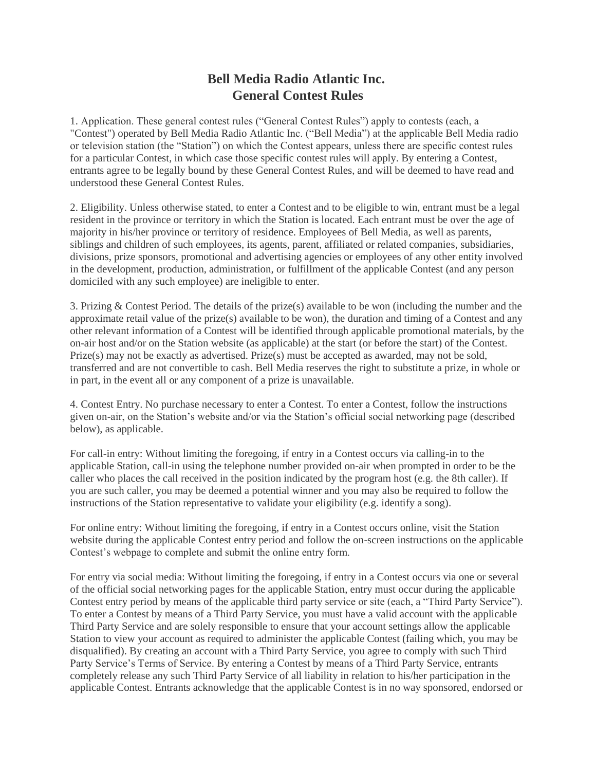## **Bell Media Radio Atlantic Inc. General Contest Rules**

1. Application. These general contest rules ("General Contest Rules") apply to contests (each, a "Contest") operated by Bell Media Radio Atlantic Inc. ("Bell Media") at the applicable Bell Media radio or television station (the "Station") on which the Contest appears, unless there are specific contest rules for a particular Contest, in which case those specific contest rules will apply. By entering a Contest, entrants agree to be legally bound by these General Contest Rules, and will be deemed to have read and understood these General Contest Rules.

2. Eligibility. Unless otherwise stated, to enter a Contest and to be eligible to win, entrant must be a legal resident in the province or territory in which the Station is located. Each entrant must be over the age of majority in his/her province or territory of residence. Employees of Bell Media, as well as parents, siblings and children of such employees, its agents, parent, affiliated or related companies, subsidiaries, divisions, prize sponsors, promotional and advertising agencies or employees of any other entity involved in the development, production, administration, or fulfillment of the applicable Contest (and any person domiciled with any such employee) are ineligible to enter.

3. Prizing & Contest Period. The details of the prize(s) available to be won (including the number and the approximate retail value of the prize(s) available to be won), the duration and timing of a Contest and any other relevant information of a Contest will be identified through applicable promotional materials, by the on-air host and/or on the Station website (as applicable) at the start (or before the start) of the Contest. Prize(s) may not be exactly as advertised. Prize(s) must be accepted as awarded, may not be sold, transferred and are not convertible to cash. Bell Media reserves the right to substitute a prize, in whole or in part, in the event all or any component of a prize is unavailable.

4. Contest Entry. No purchase necessary to enter a Contest. To enter a Contest, follow the instructions given on-air, on the Station's website and/or via the Station's official social networking page (described below), as applicable.

For call-in entry: Without limiting the foregoing, if entry in a Contest occurs via calling-in to the applicable Station, call-in using the telephone number provided on-air when prompted in order to be the caller who places the call received in the position indicated by the program host (e.g. the 8th caller). If you are such caller, you may be deemed a potential winner and you may also be required to follow the instructions of the Station representative to validate your eligibility (e.g. identify a song).

For online entry: Without limiting the foregoing, if entry in a Contest occurs online, visit the Station website during the applicable Contest entry period and follow the on-screen instructions on the applicable Contest's webpage to complete and submit the online entry form.

For entry via social media: Without limiting the foregoing, if entry in a Contest occurs via one or several of the official social networking pages for the applicable Station, entry must occur during the applicable Contest entry period by means of the applicable third party service or site (each, a "Third Party Service"). To enter a Contest by means of a Third Party Service, you must have a valid account with the applicable Third Party Service and are solely responsible to ensure that your account settings allow the applicable Station to view your account as required to administer the applicable Contest (failing which, you may be disqualified). By creating an account with a Third Party Service, you agree to comply with such Third Party Service's Terms of Service. By entering a Contest by means of a Third Party Service, entrants completely release any such Third Party Service of all liability in relation to his/her participation in the applicable Contest. Entrants acknowledge that the applicable Contest is in no way sponsored, endorsed or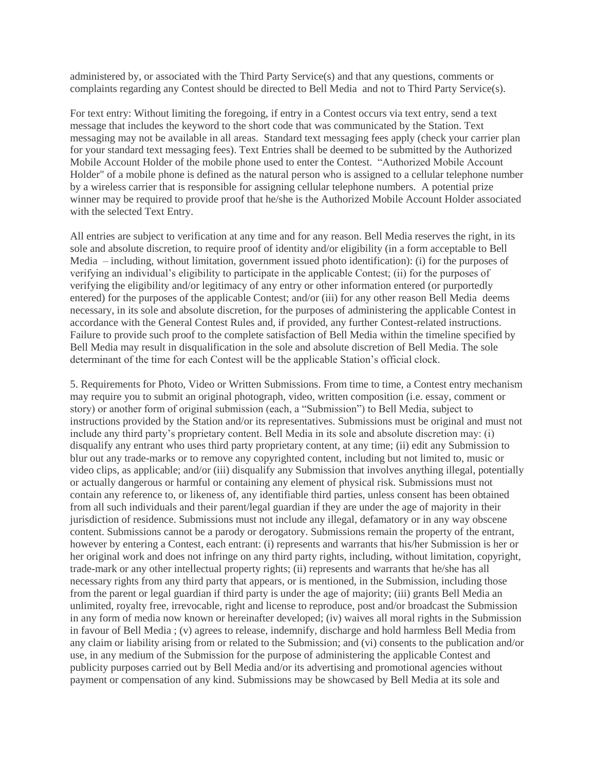administered by, or associated with the Third Party Service(s) and that any questions, comments or complaints regarding any Contest should be directed to Bell Media and not to Third Party Service(s).

For text entry: Without limiting the foregoing, if entry in a Contest occurs via text entry, send a text message that includes the keyword to the short code that was communicated by the Station. Text messaging may not be available in all areas. Standard text messaging fees apply (check your carrier plan for your standard text messaging fees). Text Entries shall be deemed to be submitted by the Authorized Mobile Account Holder of the mobile phone used to enter the Contest. "Authorized Mobile Account Holder" of a mobile phone is defined as the natural person who is assigned to a cellular telephone number by a wireless carrier that is responsible for assigning cellular telephone numbers. A potential prize winner may be required to provide proof that he/she is the Authorized Mobile Account Holder associated with the selected Text Entry.

All entries are subject to verification at any time and for any reason. Bell Media reserves the right, in its sole and absolute discretion, to require proof of identity and/or eligibility (in a form acceptable to Bell Media – including, without limitation, government issued photo identification): (i) for the purposes of verifying an individual's eligibility to participate in the applicable Contest; (ii) for the purposes of verifying the eligibility and/or legitimacy of any entry or other information entered (or purportedly entered) for the purposes of the applicable Contest; and/or (iii) for any other reason Bell Media deems necessary, in its sole and absolute discretion, for the purposes of administering the applicable Contest in accordance with the General Contest Rules and, if provided, any further Contest-related instructions. Failure to provide such proof to the complete satisfaction of Bell Media within the timeline specified by Bell Media may result in disqualification in the sole and absolute discretion of Bell Media. The sole determinant of the time for each Contest will be the applicable Station's official clock.

5. Requirements for Photo, Video or Written Submissions. From time to time, a Contest entry mechanism may require you to submit an original photograph, video, written composition (i.e. essay, comment or story) or another form of original submission (each, a "Submission") to Bell Media, subject to instructions provided by the Station and/or its representatives. Submissions must be original and must not include any third party's proprietary content. Bell Media in its sole and absolute discretion may: (i) disqualify any entrant who uses third party proprietary content, at any time; (ii) edit any Submission to blur out any trade-marks or to remove any copyrighted content, including but not limited to, music or video clips, as applicable; and/or (iii) disqualify any Submission that involves anything illegal, potentially or actually dangerous or harmful or containing any element of physical risk. Submissions must not contain any reference to, or likeness of, any identifiable third parties, unless consent has been obtained from all such individuals and their parent/legal guardian if they are under the age of majority in their jurisdiction of residence. Submissions must not include any illegal, defamatory or in any way obscene content. Submissions cannot be a parody or derogatory. Submissions remain the property of the entrant, however by entering a Contest, each entrant: (i) represents and warrants that his/her Submission is her or her original work and does not infringe on any third party rights, including, without limitation, copyright, trade-mark or any other intellectual property rights; (ii) represents and warrants that he/she has all necessary rights from any third party that appears, or is mentioned, in the Submission, including those from the parent or legal guardian if third party is under the age of majority; (iii) grants Bell Media an unlimited, royalty free, irrevocable, right and license to reproduce, post and/or broadcast the Submission in any form of media now known or hereinafter developed; (iv) waives all moral rights in the Submission in favour of Bell Media ; (v) agrees to release, indemnify, discharge and hold harmless Bell Media from any claim or liability arising from or related to the Submission; and (vi) consents to the publication and/or use, in any medium of the Submission for the purpose of administering the applicable Contest and publicity purposes carried out by Bell Media and/or its advertising and promotional agencies without payment or compensation of any kind. Submissions may be showcased by Bell Media at its sole and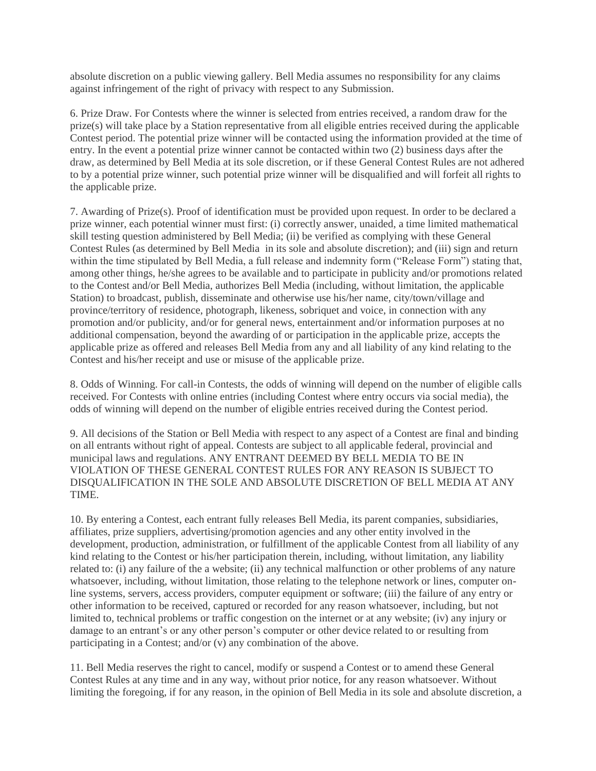absolute discretion on a public viewing gallery. Bell Media assumes no responsibility for any claims against infringement of the right of privacy with respect to any Submission.

6. Prize Draw. For Contests where the winner is selected from entries received, a random draw for the prize(s) will take place by a Station representative from all eligible entries received during the applicable Contest period. The potential prize winner will be contacted using the information provided at the time of entry. In the event a potential prize winner cannot be contacted within two (2) business days after the draw, as determined by Bell Media at its sole discretion, or if these General Contest Rules are not adhered to by a potential prize winner, such potential prize winner will be disqualified and will forfeit all rights to the applicable prize.

7. Awarding of Prize(s). Proof of identification must be provided upon request. In order to be declared a prize winner, each potential winner must first: (i) correctly answer, unaided, a time limited mathematical skill testing question administered by Bell Media; (ii) be verified as complying with these General Contest Rules (as determined by Bell Media in its sole and absolute discretion); and (iii) sign and return within the time stipulated by Bell Media, a full release and indemnity form ("Release Form") stating that, among other things, he/she agrees to be available and to participate in publicity and/or promotions related to the Contest and/or Bell Media, authorizes Bell Media (including, without limitation, the applicable Station) to broadcast, publish, disseminate and otherwise use his/her name, city/town/village and province/territory of residence, photograph, likeness, sobriquet and voice, in connection with any promotion and/or publicity, and/or for general news, entertainment and/or information purposes at no additional compensation, beyond the awarding of or participation in the applicable prize, accepts the applicable prize as offered and releases Bell Media from any and all liability of any kind relating to the Contest and his/her receipt and use or misuse of the applicable prize.

8. Odds of Winning. For call-in Contests, the odds of winning will depend on the number of eligible calls received. For Contests with online entries (including Contest where entry occurs via social media), the odds of winning will depend on the number of eligible entries received during the Contest period.

9. All decisions of the Station or Bell Media with respect to any aspect of a Contest are final and binding on all entrants without right of appeal. Contests are subject to all applicable federal, provincial and municipal laws and regulations. ANY ENTRANT DEEMED BY BELL MEDIA TO BE IN VIOLATION OF THESE GENERAL CONTEST RULES FOR ANY REASON IS SUBJECT TO DISQUALIFICATION IN THE SOLE AND ABSOLUTE DISCRETION OF BELL MEDIA AT ANY TIME.

10. By entering a Contest, each entrant fully releases Bell Media, its parent companies, subsidiaries, affiliates, prize suppliers, advertising/promotion agencies and any other entity involved in the development, production, administration, or fulfillment of the applicable Contest from all liability of any kind relating to the Contest or his/her participation therein, including, without limitation, any liability related to: (i) any failure of the a website; (ii) any technical malfunction or other problems of any nature whatsoever, including, without limitation, those relating to the telephone network or lines, computer online systems, servers, access providers, computer equipment or software; (iii) the failure of any entry or other information to be received, captured or recorded for any reason whatsoever, including, but not limited to, technical problems or traffic congestion on the internet or at any website; (iv) any injury or damage to an entrant's or any other person's computer or other device related to or resulting from participating in a Contest; and/or (v) any combination of the above.

11. Bell Media reserves the right to cancel, modify or suspend a Contest or to amend these General Contest Rules at any time and in any way, without prior notice, for any reason whatsoever. Without limiting the foregoing, if for any reason, in the opinion of Bell Media in its sole and absolute discretion, a